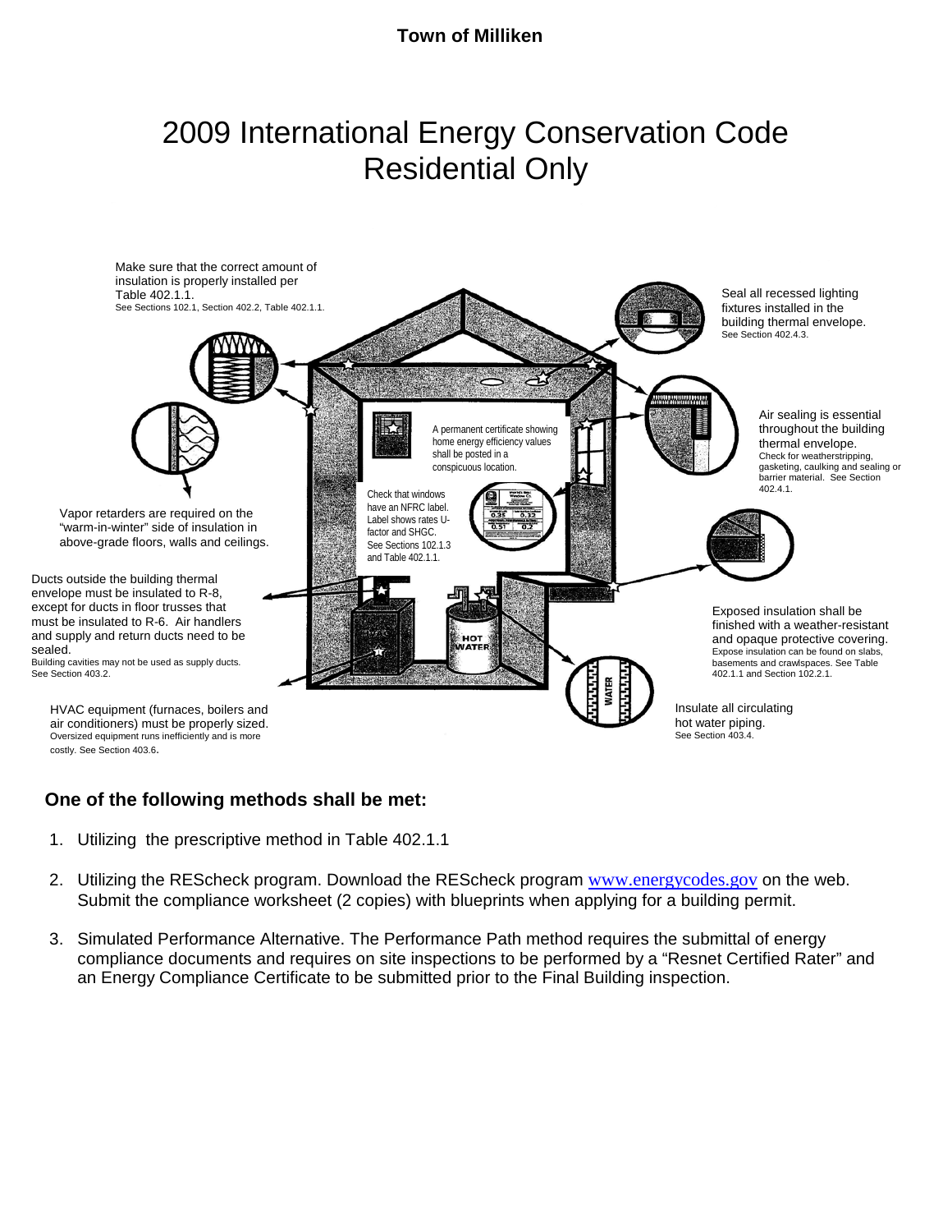#### **Town of Milliken**

# 2009 International Energy Conservation Code Residential Only



#### **One of the following methods shall be met:**

- 1. Utilizing the prescriptive method in Table 402.1.1
- 2. Utilizing the REScheck program. Download the REScheck program [www.energycodes.gov](http://www.energycodes.gov/) on the web. Submit the compliance worksheet (2 copies) with blueprints when applying for a building permit.
- 3. Simulated Performance Alternative. The Performance Path method requires the submittal of energy compliance documents and requires on site inspections to be performed by a "Resnet Certified Rater" and an Energy Compliance Certificate to be submitted prior to the Final Building inspection.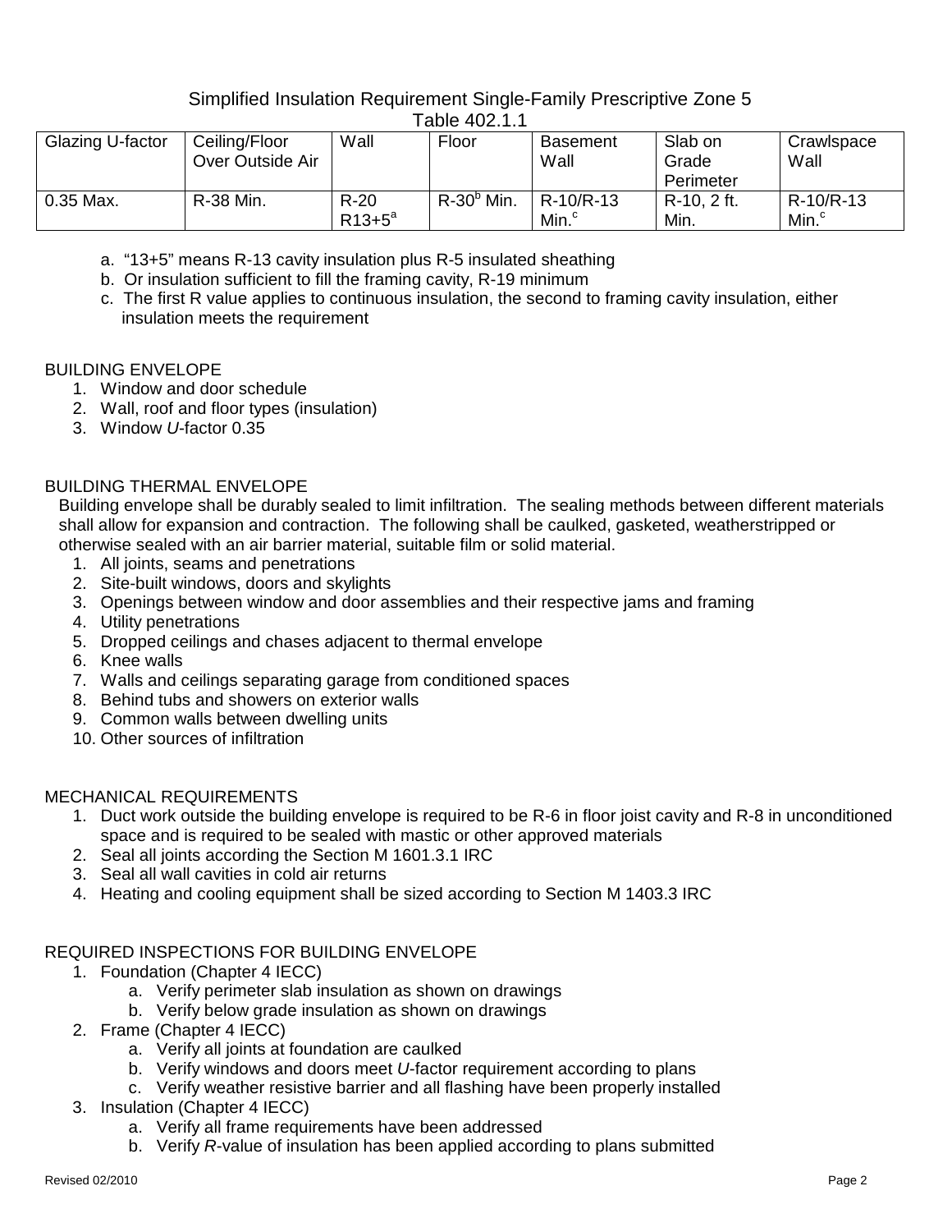## Simplified Insulation Requirement Single-Family Prescriptive Zone 5

| Glazing U-factor | Ceiling/Floor<br>Over Outside Air | Wall                | Floor         | Basement<br>Wall               | Slab on<br>Grade<br>Perimeter | Crawlspace<br>Wall             |  |
|------------------|-----------------------------------|---------------------|---------------|--------------------------------|-------------------------------|--------------------------------|--|
| 0.35 Max.        | <b>R-38 Min.</b>                  | $R-20$<br>$R13+5^a$ | $R-30^b$ Min. | R-10/R-13<br>Min. <sup>c</sup> | R-10, 2 ft.<br>Min.           | R-10/R-13<br>Min. <sup>c</sup> |  |

- Table 402.1.1
- a. "13+5" means R-13 cavity insulation plus R-5 insulated sheathing
- b. Or insulation sufficient to fill the framing cavity, R-19 minimum
- c. The first R value applies to continuous insulation, the second to framing cavity insulation, either insulation meets the requirement

#### BUILDING ENVELOPE

- 1. Window and door schedule
- 2. Wall, roof and floor types (insulation)
- 3. Window *U*-factor 0.35

## BUILDING THERMAL ENVELOPE

Building envelope shall be durably sealed to limit infiltration. The sealing methods between different materials shall allow for expansion and contraction. The following shall be caulked, gasketed, weatherstripped or otherwise sealed with an air barrier material, suitable film or solid material.

- 1. All joints, seams and penetrations
- 2. Site-built windows, doors and skylights
- 3. Openings between window and door assemblies and their respective jams and framing
- 4. Utility penetrations
- 5. Dropped ceilings and chases adjacent to thermal envelope
- 6. Knee walls
- 7. Walls and ceilings separating garage from conditioned spaces
- 8. Behind tubs and showers on exterior walls
- 9. Common walls between dwelling units
- 10. Other sources of infiltration

# MECHANICAL REQUIREMENTS

- 1. Duct work outside the building envelope is required to be R-6 in floor joist cavity and R-8 in unconditioned space and is required to be sealed with mastic or other approved materials
- 2. Seal all joints according the Section M 1601.3.1 IRC
- 3. Seal all wall cavities in cold air returns
- 4. Heating and cooling equipment shall be sized according to Section M 1403.3 IRC

# REQUIRED INSPECTIONS FOR BUILDING ENVELOPE

- 1. Foundation (Chapter 4 IECC)
	- a. Verify perimeter slab insulation as shown on drawings
	- b. Verify below grade insulation as shown on drawings
- 2. Frame (Chapter 4 IECC)
	- a. Verify all joints at foundation are caulked
	- b. Verify windows and doors meet *U*-factor requirement according to plans
	- c. Verify weather resistive barrier and all flashing have been properly installed
- 3. Insulation (Chapter 4 IECC)
	- a. Verify all frame requirements have been addressed
	- b. Verify *R*-value of insulation has been applied according to plans submitted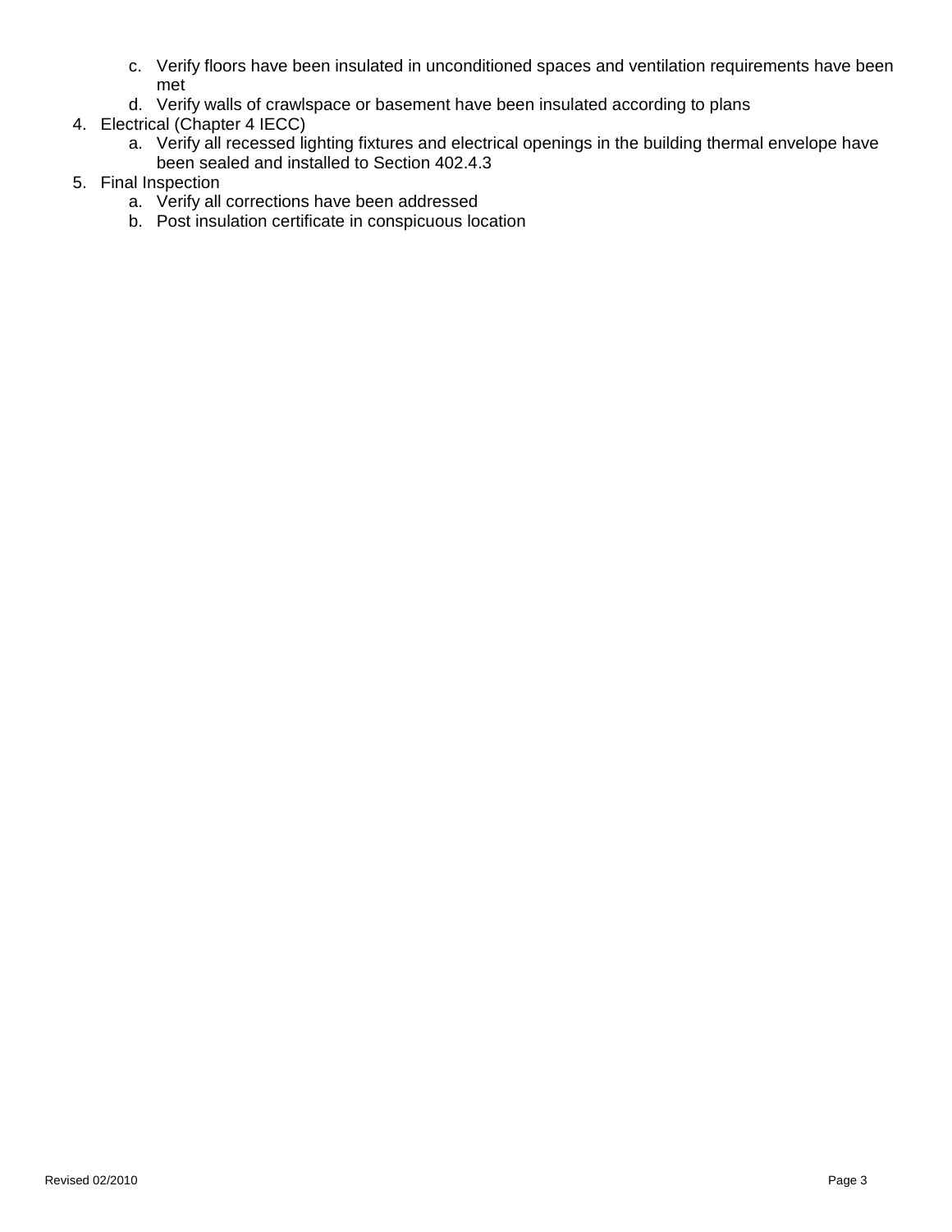- c. Verify floors have been insulated in unconditioned spaces and ventilation requirements have been met
- d. Verify walls of crawlspace or basement have been insulated according to plans
- 4. Electrical (Chapter 4 IECC)
	- a. Verify all recessed lighting fixtures and electrical openings in the building thermal envelope have been sealed and installed to Section 402.4.3
- 5. Final Inspection
	- a. Verify all corrections have been addressed
	- b. Post insulation certificate in conspicuous location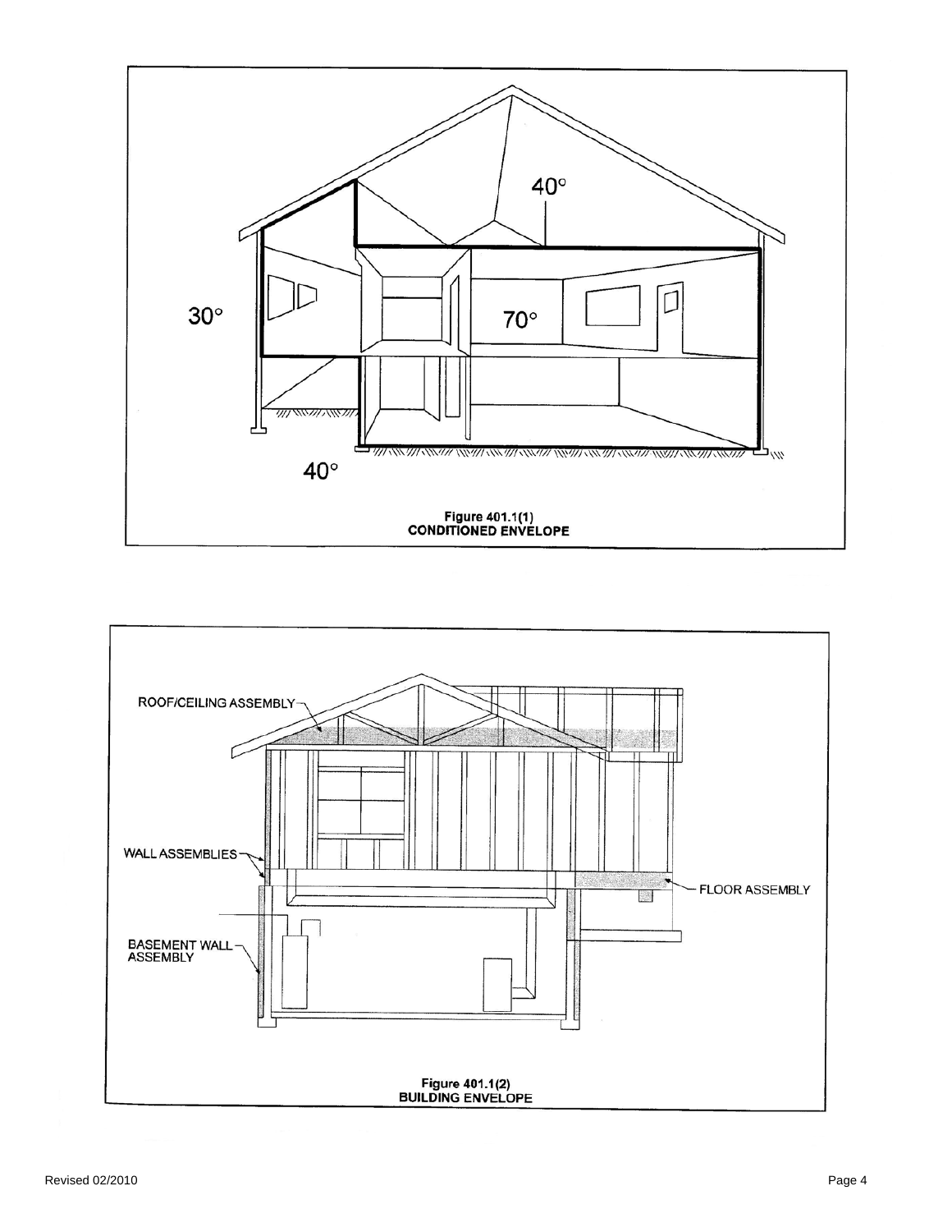

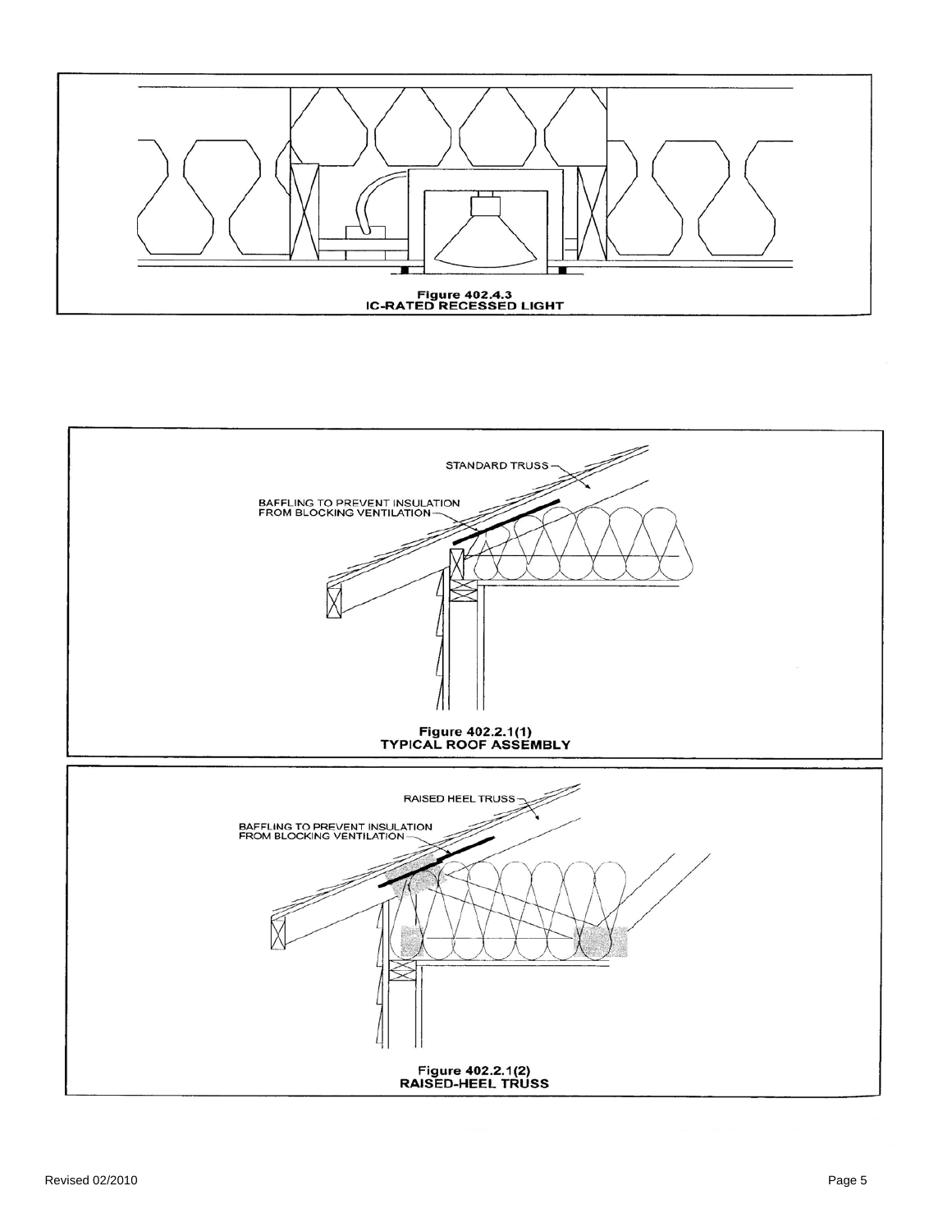

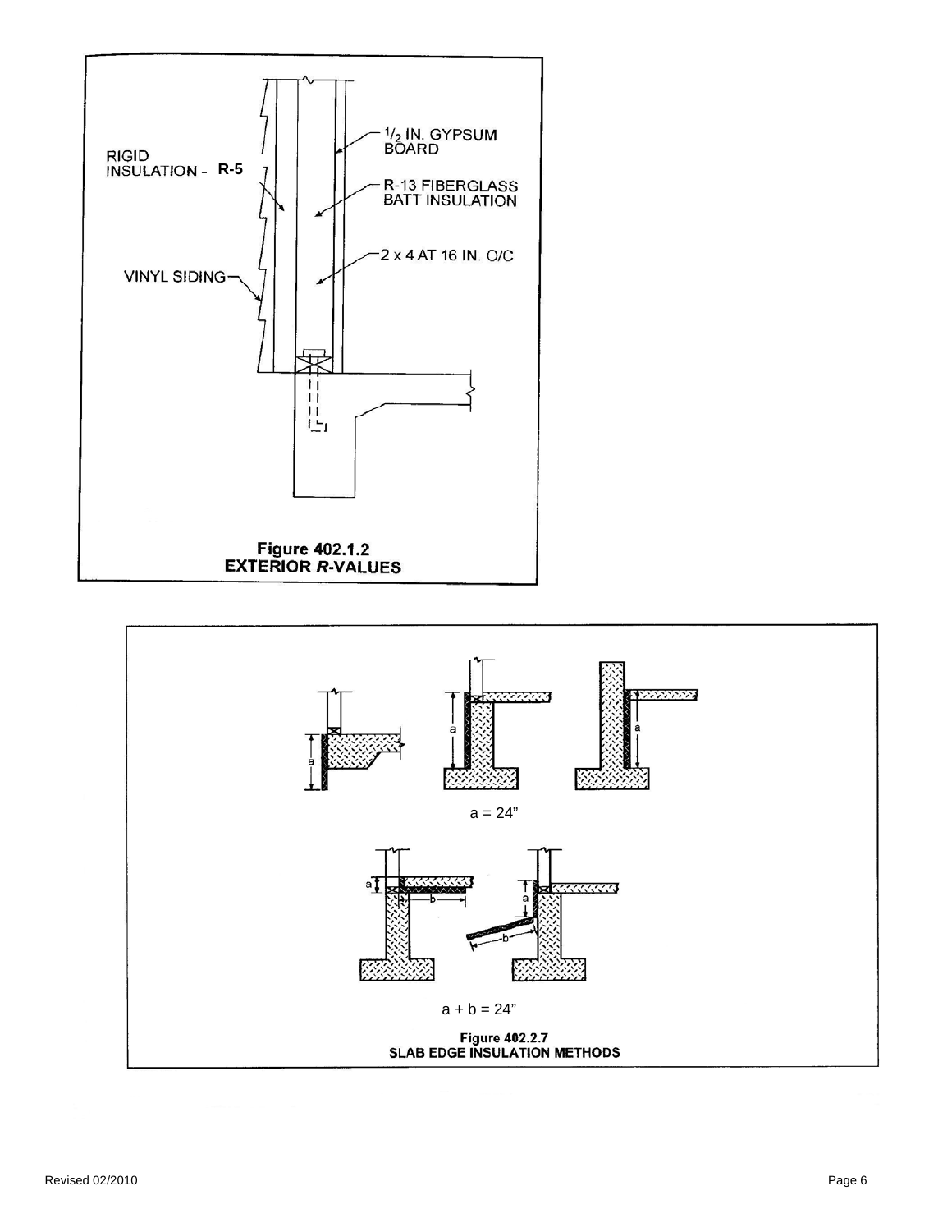

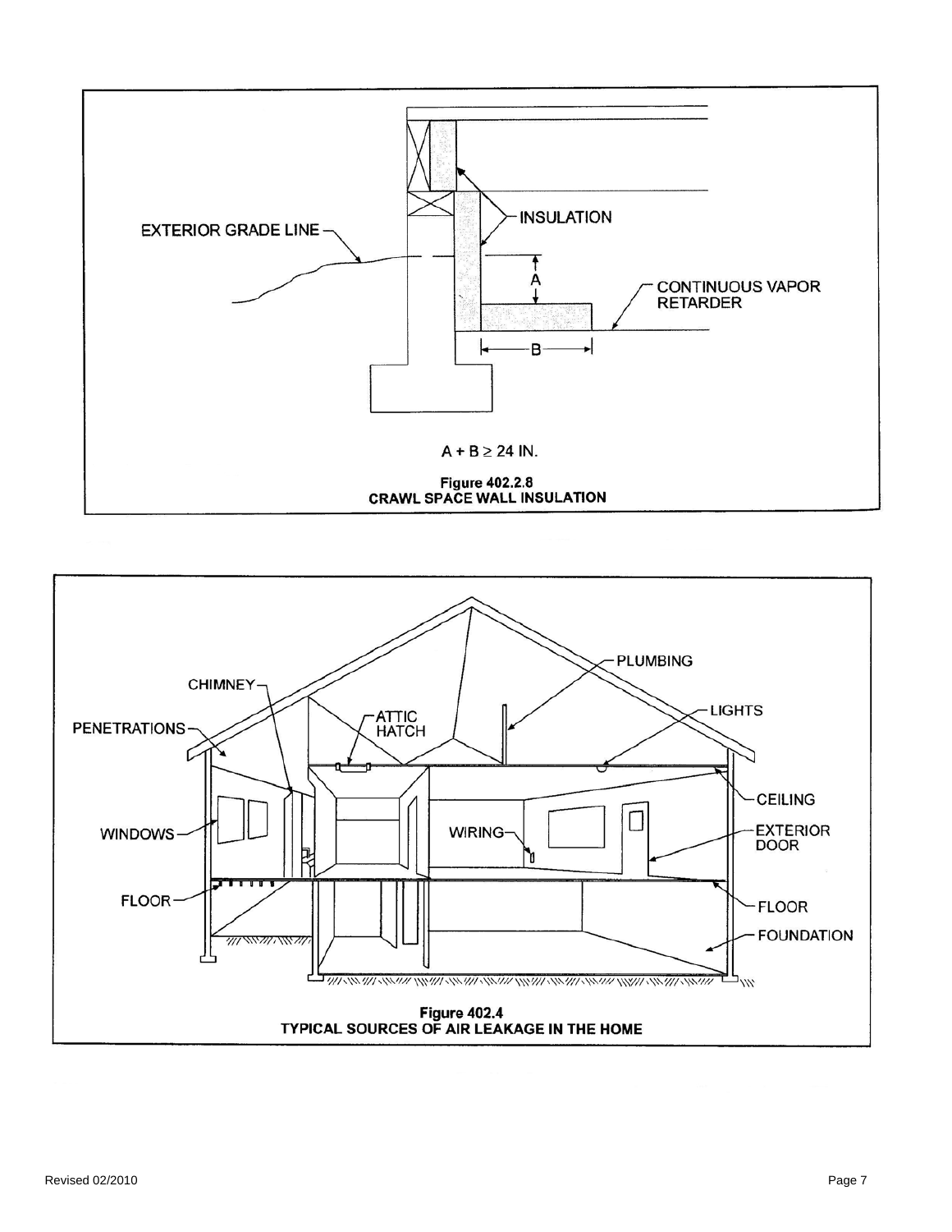